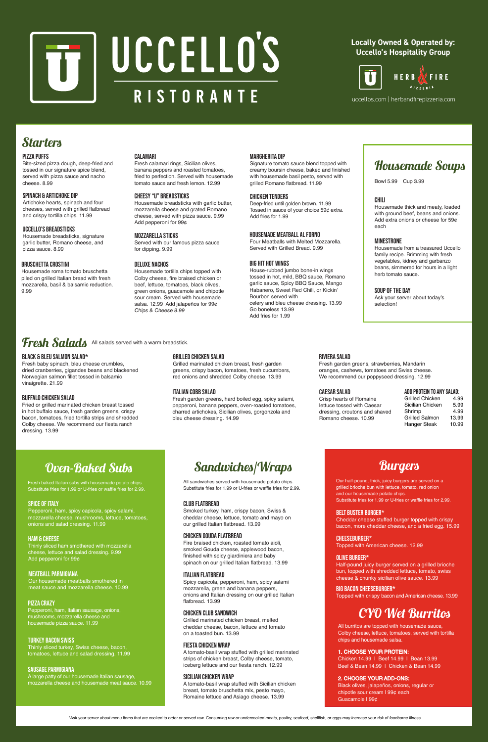

# UCCELLO'S RISTORANTE

#### SOUP OF THE DAY

Ask your server about today's selection!

### Fresh Salads All salads served with a warm breadstick.

#### CHILI

Housemade thick and meaty, loaded with ground beef, beans and onions. Add extra onions or cheese for 59¢ each

#### MINESTRONE

Housemade from a treasured Uccello family recipe. Brimming with fresh vegetables, kidney and garbanzo beans, simmered for hours in a light herb tomato sauce.

## Housemade Soups

#### BIG HIT HOT WINGS

House-rubbed jumbo bone-in wings tossed in hot, mild, BBQ sauce, Romano garlic sauce, Spicy BBQ Sauce, Mango Habanero, Sweet Red Chili, or Kickin' Bourbon served with celery and bleu cheese dressing. 13.99 Go boneless 13.99 Add fries for 1.99

#### CHICKEN TENDERS

Deep-fried until golden brown. 11.99 Tossed in sauce of your choice 59¢ extra. Add fries for 1.99

#### MOZZARELLA STICKS

Served with our famous pizza sauce for dipping. 9.99

#### DELUXE nachos

Housemade tortilla chips topped with Colby cheese, fire braised chicken or beef, lettuce, tomatoes, black olives, green onions, guacamole and chipotle sour cream. Served with housemade salsa. 12.99 Add jalapeños for 99¢ Chips & Cheese 8.99

#### SPINACH & ARTICHOKE DIP

Artichoke hearts, spinach and four cheeses, served with grilled flatbread and crispy tortilla chips. 11.99

#### UCCELLO'S BREADSTICKS

Housemade breadsticks, signature garlic butter, Romano cheese, and pizza sauce. 8.99

#### CALAMARI

Fresh calamari rings, Sicilian olives, banana peppers and roasted tomatoes, fried to perfection. Served with housemade tomato sauce and fresh lemon. 12.99

#### MARGHERITA DIP

Signature tomato sauce blend topped with creamy boursin cheese, baked and finished with housemade basil pesto, served with grilled Romano flatbread. 11.99

#### PIZZA PUFFS

Bite-sized pizza dough, deep-fried and tossed in our signature spice blend, served with pizza sauce and nacho cheese. 8.99

#### BLACK & BLEU SALMON SALAD\*

Fresh baby spinach, bleu cheese crumbles, dried cranberries, gigandes beans and blackened Norwegian salmon fillet tossed in balsamic vinaigrette. 21.99

#### GRILLED CHICKEN SALAD

Grilled marinated chicken breast, fresh garden greens, crispy bacon, tomatoes, fresh cucumbers, red onions and shredded Colby cheese. 13.99

#### BUFFALO CHICKEN SALAD

Fried or grilled marinated chicken breast tossed in hot buffalo sauce, fresh garden greens, crispy bacon, tomatoes, fried tortilla strips and shredded Colby cheese. We recommend our fiesta ranch dressing. 13.99

#### RIVIERA SALAD

Fresh garden greens, strawberries, Mandarin oranges, cashews, tomatoes and Swiss cheese. We recommend our poppyseed dressing. 12.99

#### ITALIAN COBB SALAD

Fresh garden greens, hard boiled egg, spicy salami, pepperoni, banana peppers, oven-roasted tomatoes, charred artichokes, Sicilian olives, gorgonzola and bleu cheese dressing. 14.99

#### CAESAR SALAD

Crisp hearts of Romaine lettuce tossed with Caesar dressing, croutons and shaved Romano cheese. 10.99

> Chicken 14.99 | Beef 14.99 | Bean 13.99 Beef & Bean 14.99 | Chicken & Bean 14.99

#### ADD PROTEIN TO ANY SALAD:

| Grilled Chicken       | 4.99  |
|-----------------------|-------|
| Sicilian Chicken      | 5.99  |
| Shrimp                | 4.99  |
| <b>Grilled Salmon</b> | 13.99 |
| Hanger Steak          | 10.99 |
|                       |       |

Bowl 5.99 Cup 3.99

# Sandwiches/Wraps

#### CLUB FLATBREAD

Smoked turkey, ham, crispy bacon, Swiss & cheddar cheese, lettuce, tomato and mayo on our grilled Italian flatbread. 13.99

### **Burgers**

#### FIESTA CHICKEN WRAP

A tomato-basil wrap stuffed with grilled marinated strips of chicken breast, Colby cheese, tomato, iceberg lettuce and our fiesta ranch. 12.99

Fresh baked Italian subs with housemade potato chips. Substitute fries for 1.99 or U-fries or waffle fries for 2.99.

#### PIZZA CRAZY

Pepperoni, ham, Italian sausage, onions, mushrooms, mozzarella cheese and housemade pizza sauce. 11.99

#### SPICE OF ITALY

Pepperoni, ham, spicy capicola, spicy salami, mozzarella cheese, mushrooms, lettuce, tomatoes, onions and salad dressing. 11.99

#### MEATBALL PARMIGIANA

Our housemade meatballs smothered in meat sauce and mozzarella cheese. 10.99

#### TURKEY BACON SWISS

Thinly sliced turkey, Swiss cheese, bacon, tomatoes, lettuce and salad dressing. 11.99

# Oven-Baked Subs

#### SAUSAGE PARMIGIANA

A large patty of our housemade Italian sausage, mozzarella cheese and housemade meat sauce. 10.99

#### HAM & CHEESE

Thinly sliced ham smothered with mozzarella cheese, lettuce and salad dressing. 9.99 Add pepperoni for 99¢

#### SICILIAN CHICKEN WRAP

A tomato-basil wrap stuffed with Sicilian chicken breast, tomato bruschetta mix, pesto mayo, Romaine lettuce and Asiago cheese. 13.99

#### ITALIAN FLATBREAD

Spicy capicola, pepperoni, ham, spicy salami mozzarella, green and banana peppers, onions and Italian dressing on our grilled Italian flatbread. 13.99

All sandwiches served with housemade potato chips. Substitute fries for 1.99 or U-fries or waffle fries for 2.99.

#### CHEESEBURGER\* Topped with American cheese. 12.99

#### BELT Buster BURGER\*

Cheddar cheese stuffed burger topped with crispy bacon, more cheddar cheese, and a fried egg. 15.99

#### BIG BACON CHEESEBURGER\*

Topped with crispy bacon and American cheese. 13.99

Our half-pound, thick, juicy burgers are served on a grilled brioche bun with lettuce, tomato, red onion and our housemade potato chips. Substitute fries for 1.99 or U-fries or waffle fries for 2.99.

#### OLIVE BURGER\*

Half-pound juicy burger served on a grilled brioche bun, topped with shredded lettuce, tomato, swiss cheese & chunky sicilian olive sauce. 13.99

\*Ask your server about menu items that are cooked to order or served raw. Consuming raw or undercooked meats, poultry, seafood, shellfish, or eggs may increase your risk of foodborne illness.

#### CHICKEN CLUB sandwich

Grilled marinated chicken breast, melted cheddar cheese, bacon, lettuce and tomato on a toasted bun. 13.99

### CYO Wet Burritos

All burritos are topped with housemade sauce, Colby cheese, lettuce, tomatoes, served with tortilla chips and housemade salsa.

#### 1. CHOOSE YOUR PROTEIN:

#### 2. CHOOSE YOUR ADD-ONS:

Black olives, jalapeños, onions, regular or chipotle sour cream | 99¢ each Guacamole | 99¢

#### Chicken gouda flatbread

Fire braised chicken, roasted tomato aioli, smoked Gouda cheese, applewood bacon, finished with spicy giardiniera and baby spinach on our grilled Italian flatbread. 13.99

### **Locally Owned & Operated by: Uccello's Hospitality Group**



uccellos.com | herbandfirepizzeria.com

### **Starters**

#### Cheesy "u" BREADSTICKS

Housemade breadsticks with garlic butter, mozzarella cheese and grated Romano cheese, served with pizza sauce. 9.99 Add pepperoni for 99¢

#### BRUSCHETTA CROSTINI

Housemade roma tomato bruschetta piled on grilled Italian bread with fresh mozzarella, basil & balsamic reduction. 9.99

#### housemade Meatball al Forno

Four Meatballs with Melted Mozzarella. Served with Grilled Bread. 9.99